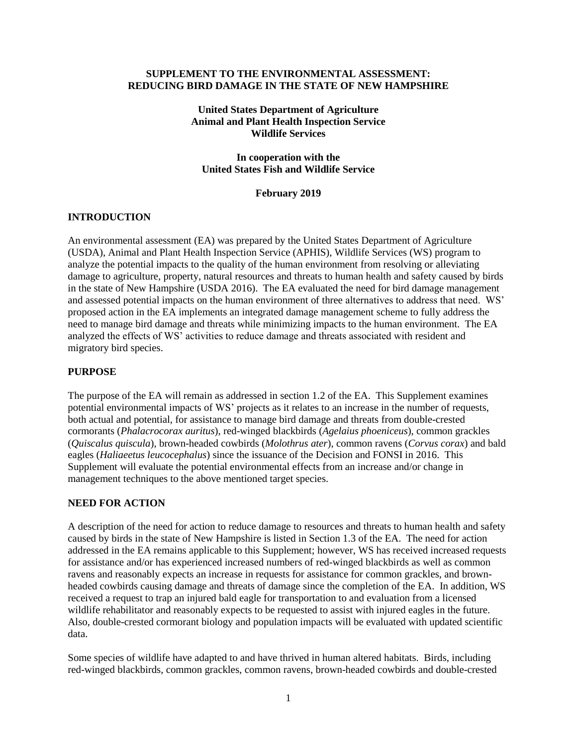#### **SUPPLEMENT TO THE ENVIRONMENTAL ASSESSMENT: REDUCING BIRD DAMAGE IN THE STATE OF NEW HAMPSHIRE**

# **United States Department of Agriculture Animal and Plant Health Inspection Service Wildlife Services**

### **In cooperation with the United States Fish and Wildlife Service**

### **February 2019**

# **INTRODUCTION**

An environmental assessment (EA) was prepared by the United States Department of Agriculture (USDA), Animal and Plant Health Inspection Service (APHIS), Wildlife Services (WS) program to analyze the potential impacts to the quality of the human environment from resolving or alleviating damage to agriculture, property, natural resources and threats to human health and safety caused by birds in the state of New Hampshire (USDA 2016). The EA evaluated the need for bird damage management and assessed potential impacts on the human environment of three alternatives to address that need. WS' proposed action in the EA implements an integrated damage management scheme to fully address the need to manage bird damage and threats while minimizing impacts to the human environment. The EA analyzed the effects of WS' activities to reduce damage and threats associated with resident and migratory bird species.

#### **PURPOSE**

The purpose of the EA will remain as addressed in section 1.2 of the EA. This Supplement examines potential environmental impacts of WS' projects as it relates to an increase in the number of requests, both actual and potential, for assistance to manage bird damage and threats from double-crested cormorants (*Phalacrocorax auritus*), red-winged blackbirds (*Agelaius phoeniceus*), common grackles (*Quiscalus quiscula*), brown-headed cowbirds (*Molothrus ater*), common ravens (*Corvus corax*) and bald eagles (*Haliaeetus leucocephalus*) since the issuance of the Decision and FONSI in 2016. This Supplement will evaluate the potential environmental effects from an increase and/or change in management techniques to the above mentioned target species.

### **NEED FOR ACTION**

A description of the need for action to reduce damage to resources and threats to human health and safety caused by birds in the state of New Hampshire is listed in Section 1.3 of the EA. The need for action addressed in the EA remains applicable to this Supplement; however, WS has received increased requests for assistance and/or has experienced increased numbers of red-winged blackbirds as well as common ravens and reasonably expects an increase in requests for assistance for common grackles, and brownheaded cowbirds causing damage and threats of damage since the completion of the EA. In addition, WS received a request to trap an injured bald eagle for transportation to and evaluation from a licensed wildlife rehabilitator and reasonably expects to be requested to assist with injured eagles in the future. Also, double-crested cormorant biology and population impacts will be evaluated with updated scientific data.

Some species of wildlife have adapted to and have thrived in human altered habitats. Birds, including red-winged blackbirds, common grackles, common ravens, brown-headed cowbirds and double-crested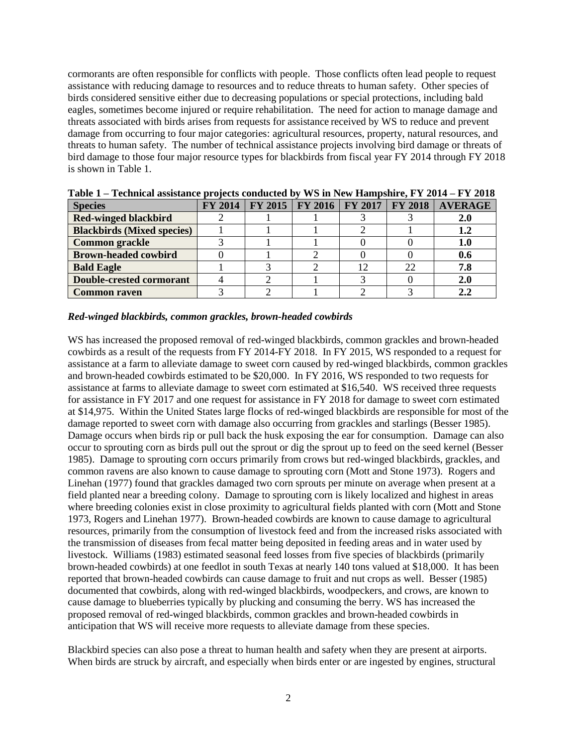cormorants are often responsible for conflicts with people. Those conflicts often lead people to request assistance with reducing damage to resources and to reduce threats to human safety. Other species of birds considered sensitive either due to decreasing populations or special protections, including bald eagles, sometimes become injured or require rehabilitation. The need for action to manage damage and threats associated with birds arises from requests for assistance received by WS to reduce and prevent damage from occurring to four major categories: agricultural resources, property, natural resources, and threats to human safety. The number of technical assistance projects involving bird damage or threats of bird damage to those four major resource types for blackbirds from fiscal year FY 2014 through FY 2018 is shown in Table 1.

| <b>Species</b>                    |  |  |    | FY 2014   FY 2015   FY 2016   FY 2017   FY 2018   AVERAGE |
|-----------------------------------|--|--|----|-----------------------------------------------------------|
| <b>Red-winged blackbird</b>       |  |  |    |                                                           |
| <b>Blackbirds (Mixed species)</b> |  |  |    | 1.2                                                       |
| <b>Common grackle</b>             |  |  |    | 1.0                                                       |
| <b>Brown-headed cowbird</b>       |  |  |    |                                                           |
| <b>Bald Eagle</b>                 |  |  | 22 | 7.8                                                       |
| <b>Double-crested cormorant</b>   |  |  |    |                                                           |
| <b>Common raven</b>               |  |  |    |                                                           |

**Table 1 – Technical assistance projects conducted by WS in New Hampshire, FY 2014 – FY 2018**

#### *Red-winged blackbirds, common grackles, brown-headed cowbirds*

WS has increased the proposed removal of red-winged blackbirds, common grackles and brown-headed cowbirds as a result of the requests from FY 2014-FY 2018. In FY 2015, WS responded to a request for assistance at a farm to alleviate damage to sweet corn caused by red-winged blackbirds, common grackles and brown-headed cowbirds estimated to be \$20,000. In FY 2016, WS responded to two requests for assistance at farms to alleviate damage to sweet corn estimated at \$16,540. WS received three requests for assistance in FY 2017 and one request for assistance in FY 2018 for damage to sweet corn estimated at \$14,975. Within the United States large flocks of red-winged blackbirds are responsible for most of the damage reported to sweet corn with damage also occurring from grackles and starlings (Besser 1985). Damage occurs when birds rip or pull back the husk exposing the ear for consumption. Damage can also occur to sprouting corn as birds pull out the sprout or dig the sprout up to feed on the seed kernel (Besser 1985). Damage to sprouting corn occurs primarily from crows but red-winged blackbirds, grackles, and common ravens are also known to cause damage to sprouting corn (Mott and Stone 1973). Rogers and Linehan (1977) found that grackles damaged two corn sprouts per minute on average when present at a field planted near a breeding colony. Damage to sprouting corn is likely localized and highest in areas where breeding colonies exist in close proximity to agricultural fields planted with corn (Mott and Stone 1973, Rogers and Linehan 1977). Brown-headed cowbirds are known to cause damage to agricultural resources, primarily from the consumption of livestock feed and from the increased risks associated with the transmission of diseases from fecal matter being deposited in feeding areas and in water used by livestock. Williams (1983) estimated seasonal feed losses from five species of blackbirds (primarily brown-headed cowbirds) at one feedlot in south Texas at nearly 140 tons valued at \$18,000. It has been reported that brown-headed cowbirds can cause damage to fruit and nut crops as well. Besser (1985) documented that cowbirds, along with red-winged blackbirds, woodpeckers, and crows, are known to cause damage to blueberries typically by plucking and consuming the berry. WS has increased the proposed removal of red-winged blackbirds, common grackles and brown-headed cowbirds in anticipation that WS will receive more requests to alleviate damage from these species.

Blackbird species can also pose a threat to human health and safety when they are present at airports. When birds are struck by aircraft, and especially when birds enter or are ingested by engines, structural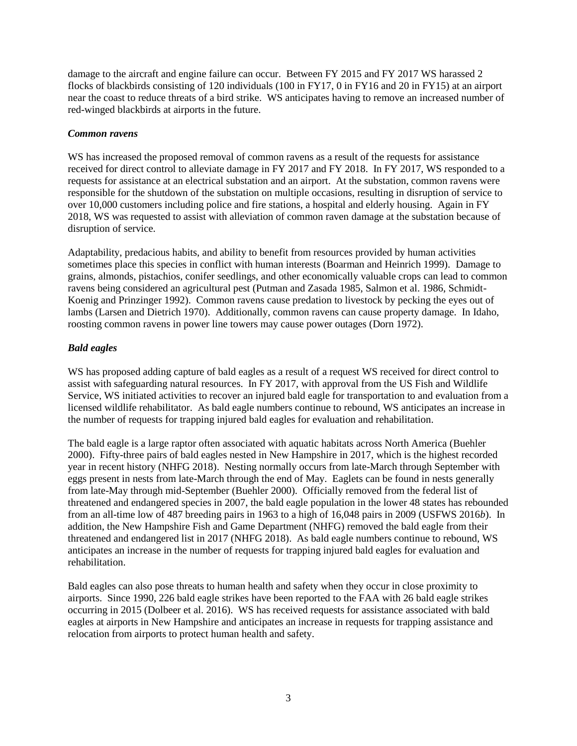damage to the aircraft and engine failure can occur. Between FY 2015 and FY 2017 WS harassed 2 flocks of blackbirds consisting of 120 individuals (100 in FY17, 0 in FY16 and 20 in FY15) at an airport near the coast to reduce threats of a bird strike. WS anticipates having to remove an increased number of red-winged blackbirds at airports in the future.

# *Common ravens*

WS has increased the proposed removal of common ravens as a result of the requests for assistance received for direct control to alleviate damage in FY 2017 and FY 2018. In FY 2017, WS responded to a requests for assistance at an electrical substation and an airport. At the substation, common ravens were responsible for the shutdown of the substation on multiple occasions, resulting in disruption of service to over 10,000 customers including police and fire stations, a hospital and elderly housing. Again in FY 2018, WS was requested to assist with alleviation of common raven damage at the substation because of disruption of service.

Adaptability, predacious habits, and ability to benefit from resources provided by human activities sometimes place this species in conflict with human interests (Boarman and Heinrich 1999). Damage to grains, almonds, pistachios, conifer seedlings, and other economically valuable crops can lead to common ravens being considered an agricultural pest (Putman and Zasada 1985, Salmon et al. 1986, Schmidt-Koenig and Prinzinger 1992). Common ravens cause predation to livestock by pecking the eyes out of lambs (Larsen and Dietrich 1970). Additionally, common ravens can cause property damage. In Idaho, roosting common ravens in power line towers may cause power outages (Dorn 1972).

# *Bald eagles*

WS has proposed adding capture of bald eagles as a result of a request WS received for direct control to assist with safeguarding natural resources. In FY 2017, with approval from the US Fish and Wildlife Service, WS initiated activities to recover an injured bald eagle for transportation to and evaluation from a licensed wildlife rehabilitator. As bald eagle numbers continue to rebound, WS anticipates an increase in the number of requests for trapping injured bald eagles for evaluation and rehabilitation.

The bald eagle is a large raptor often associated with aquatic habitats across North America (Buehler 2000). Fifty-three pairs of bald eagles nested in New Hampshire in 2017, which is the highest recorded year in recent history (NHFG 2018). Nesting normally occurs from late-March through September with eggs present in nests from late-March through the end of May. Eaglets can be found in nests generally from late-May through mid-September (Buehler 2000). Officially removed from the federal list of threatened and endangered species in 2007, the bald eagle population in the lower 48 states has rebounded from an all-time low of 487 breeding pairs in 1963 to a high of 16,048 pairs in 2009 (USFWS 2016*b*). In addition, the New Hampshire Fish and Game Department (NHFG) removed the bald eagle from their threatened and endangered list in 2017 (NHFG 2018). As bald eagle numbers continue to rebound, WS anticipates an increase in the number of requests for trapping injured bald eagles for evaluation and rehabilitation.

Bald eagles can also pose threats to human health and safety when they occur in close proximity to airports. Since 1990, 226 bald eagle strikes have been reported to the FAA with 26 bald eagle strikes occurring in 2015 (Dolbeer et al. 2016). WS has received requests for assistance associated with bald eagles at airports in New Hampshire and anticipates an increase in requests for trapping assistance and relocation from airports to protect human health and safety.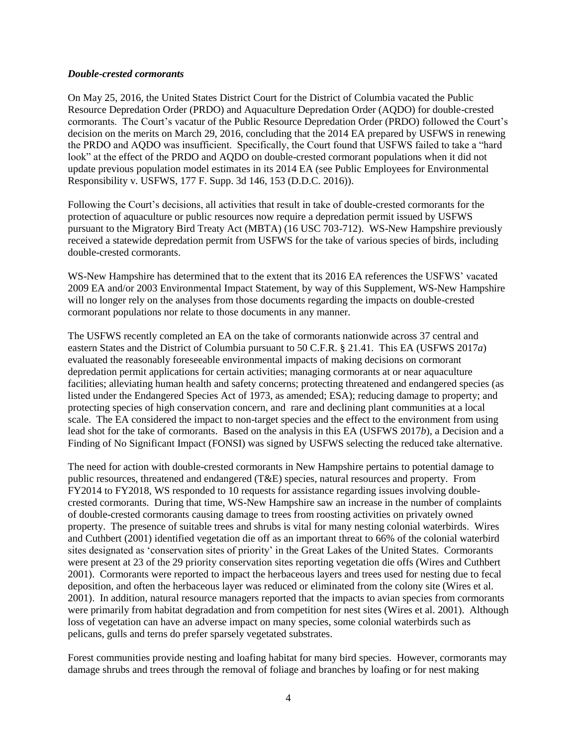#### *Double-crested cormorants*

On May 25, 2016, the United States District Court for the District of Columbia vacated the Public Resource Depredation Order (PRDO) and Aquaculture Depredation Order (AQDO) for double-crested cormorants. The Court's vacatur of the Public Resource Depredation Order (PRDO) followed the Court's decision on the merits on March 29, 2016, concluding that the 2014 EA prepared by USFWS in renewing the PRDO and AQDO was insufficient. Specifically, the Court found that USFWS failed to take a "hard look" at the effect of the PRDO and AQDO on double-crested cormorant populations when it did not update previous population model estimates in its 2014 EA (see Public Employees for Environmental Responsibility v. USFWS, 177 F. Supp. 3d 146, 153 (D.D.C. 2016)).

Following the Court's decisions, all activities that result in take of double-crested cormorants for the protection of aquaculture or public resources now require a depredation permit issued by USFWS pursuant to the Migratory Bird Treaty Act (MBTA) (16 USC 703-712). WS-New Hampshire previously received a statewide depredation permit from USFWS for the take of various species of birds, including double-crested cormorants.

WS-New Hampshire has determined that to the extent that its 2016 EA references the USFWS' vacated 2009 EA and/or 2003 Environmental Impact Statement, by way of this Supplement, WS-New Hampshire will no longer rely on the analyses from those documents regarding the impacts on double-crested cormorant populations nor relate to those documents in any manner.

The USFWS recently completed an EA on the take of cormorants nationwide across 37 central and eastern States and the District of Columbia pursuant to 50 C.F.R. § 21.41. This EA (USFWS 2017*a*) evaluated the reasonably foreseeable environmental impacts of making decisions on cormorant depredation permit applications for certain activities; managing cormorants at or near aquaculture facilities; alleviating human health and safety concerns; protecting threatened and endangered species (as listed under the Endangered Species Act of 1973, as amended; ESA); reducing damage to property; and protecting species of high conservation concern, and rare and declining plant communities at a local scale. The EA considered the impact to non-target species and the effect to the environment from using lead shot for the take of cormorants. Based on the analysis in this EA (USFWS 2017*b*), a Decision and a Finding of No Significant Impact (FONSI) was signed by USFWS selecting the reduced take alternative.

The need for action with double-crested cormorants in New Hampshire pertains to potential damage to public resources, threatened and endangered (T&E) species, natural resources and property. From FY2014 to FY2018, WS responded to 10 requests for assistance regarding issues involving doublecrested cormorants. During that time, WS-New Hampshire saw an increase in the number of complaints of double-crested cormorants causing damage to trees from roosting activities on privately owned property. The presence of suitable trees and shrubs is vital for many nesting colonial waterbirds. Wires and Cuthbert (2001) identified vegetation die off as an important threat to 66% of the colonial waterbird sites designated as 'conservation sites of priority' in the Great Lakes of the United States. Cormorants were present at 23 of the 29 priority conservation sites reporting vegetation die offs (Wires and Cuthbert 2001). Cormorants were reported to impact the herbaceous layers and trees used for nesting due to fecal deposition, and often the herbaceous layer was reduced or eliminated from the colony site (Wires et al. 2001). In addition, natural resource managers reported that the impacts to avian species from cormorants were primarily from habitat degradation and from competition for nest sites (Wires et al. 2001). Although loss of vegetation can have an adverse impact on many species, some colonial waterbirds such as pelicans, gulls and terns do prefer sparsely vegetated substrates.

Forest communities provide nesting and loafing habitat for many bird species. However, cormorants may damage shrubs and trees through the removal of foliage and branches by loafing or for nest making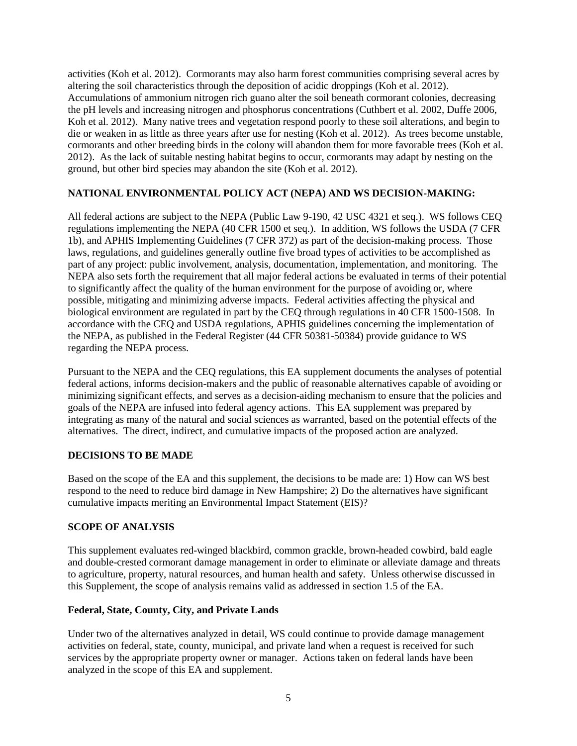activities (Koh et al. 2012). Cormorants may also harm forest communities comprising several acres by altering the soil characteristics through the deposition of acidic droppings (Koh et al. 2012). Accumulations of ammonium nitrogen rich guano alter the soil beneath cormorant colonies, decreasing the pH levels and increasing nitrogen and phosphorus concentrations (Cuthbert et al. 2002, Duffe 2006, Koh et al. 2012). Many native trees and vegetation respond poorly to these soil alterations, and begin to die or weaken in as little as three years after use for nesting (Koh et al. 2012). As trees become unstable, cormorants and other breeding birds in the colony will abandon them for more favorable trees (Koh et al. 2012). As the lack of suitable nesting habitat begins to occur, cormorants may adapt by nesting on the ground, but other bird species may abandon the site (Koh et al. 2012).

# **NATIONAL ENVIRONMENTAL POLICY ACT (NEPA) AND WS DECISION-MAKING:**

All federal actions are subject to the NEPA (Public Law 9-190, 42 USC 4321 et seq.). WS follows CEQ regulations implementing the NEPA (40 CFR 1500 et seq.). In addition, WS follows the USDA (7 CFR 1b), and APHIS Implementing Guidelines (7 CFR 372) as part of the decision-making process. Those laws, regulations, and guidelines generally outline five broad types of activities to be accomplished as part of any project: public involvement, analysis, documentation, implementation, and monitoring. The NEPA also sets forth the requirement that all major federal actions be evaluated in terms of their potential to significantly affect the quality of the human environment for the purpose of avoiding or, where possible, mitigating and minimizing adverse impacts. Federal activities affecting the physical and biological environment are regulated in part by the CEQ through regulations in 40 CFR 1500-1508. In accordance with the CEQ and USDA regulations, APHIS guidelines concerning the implementation of the NEPA, as published in the Federal Register (44 CFR 50381-50384) provide guidance to WS regarding the NEPA process.

Pursuant to the NEPA and the CEQ regulations, this EA supplement documents the analyses of potential federal actions, informs decision-makers and the public of reasonable alternatives capable of avoiding or minimizing significant effects, and serves as a decision-aiding mechanism to ensure that the policies and goals of the NEPA are infused into federal agency actions. This EA supplement was prepared by integrating as many of the natural and social sciences as warranted, based on the potential effects of the alternatives. The direct, indirect, and cumulative impacts of the proposed action are analyzed.

# **DECISIONS TO BE MADE**

Based on the scope of the EA and this supplement, the decisions to be made are: 1) How can WS best respond to the need to reduce bird damage in New Hampshire; 2) Do the alternatives have significant cumulative impacts meriting an Environmental Impact Statement (EIS)?

# **SCOPE OF ANALYSIS**

This supplement evaluates red-winged blackbird, common grackle, brown-headed cowbird, bald eagle and double-crested cormorant damage management in order to eliminate or alleviate damage and threats to agriculture, property, natural resources, and human health and safety. Unless otherwise discussed in this Supplement, the scope of analysis remains valid as addressed in section 1.5 of the EA.

# **Federal, State, County, City, and Private Lands**

Under two of the alternatives analyzed in detail, WS could continue to provide damage management activities on federal, state, county, municipal, and private land when a request is received for such services by the appropriate property owner or manager. Actions taken on federal lands have been analyzed in the scope of this EA and supplement.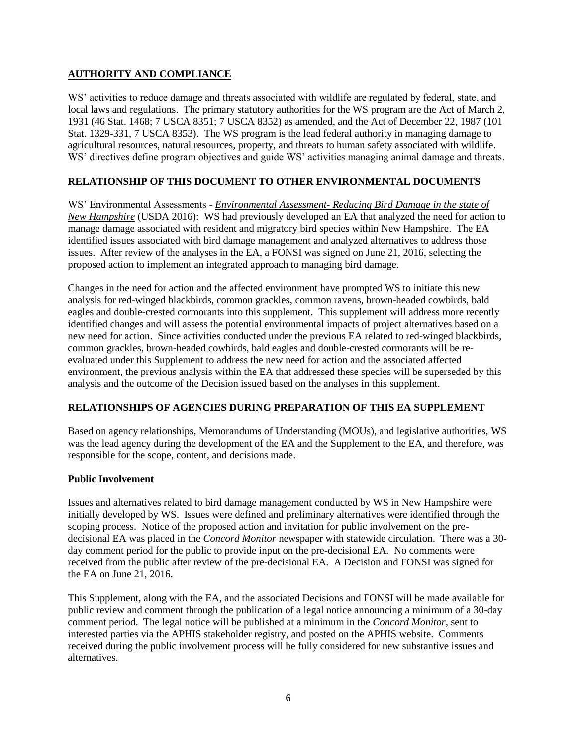# **AUTHORITY AND COMPLIANCE**

WS' activities to reduce damage and threats associated with wildlife are regulated by federal, state, and local laws and regulations. The primary statutory authorities for the WS program are the Act of March 2, 1931 (46 Stat. 1468; 7 USCA 8351; 7 USCA 8352) as amended, and the Act of December 22, 1987 (101 Stat. 1329-331, 7 USCA 8353). The WS program is the lead federal authority in managing damage to agricultural resources, natural resources, property, and threats to human safety associated with wildlife. WS' directives define program objectives and guide WS' activities managing animal damage and threats.

# **RELATIONSHIP OF THIS DOCUMENT TO OTHER ENVIRONMENTAL DOCUMENTS**

WS' Environmental Assessments - *Environmental Assessment- Reducing Bird Damage in the state of New Hampshire* (USDA 2016): WS had previously developed an EA that analyzed the need for action to manage damage associated with resident and migratory bird species within New Hampshire. The EA identified issues associated with bird damage management and analyzed alternatives to address those issues. After review of the analyses in the EA, a FONSI was signed on June 21, 2016, selecting the proposed action to implement an integrated approach to managing bird damage.

Changes in the need for action and the affected environment have prompted WS to initiate this new analysis for red-winged blackbirds, common grackles, common ravens, brown-headed cowbirds, bald eagles and double-crested cormorants into this supplement. This supplement will address more recently identified changes and will assess the potential environmental impacts of project alternatives based on a new need for action. Since activities conducted under the previous EA related to red-winged blackbirds, common grackles, brown-headed cowbirds, bald eagles and double-crested cormorants will be reevaluated under this Supplement to address the new need for action and the associated affected environment, the previous analysis within the EA that addressed these species will be superseded by this analysis and the outcome of the Decision issued based on the analyses in this supplement.

# **RELATIONSHIPS OF AGENCIES DURING PREPARATION OF THIS EA SUPPLEMENT**

Based on agency relationships, Memorandums of Understanding (MOUs), and legislative authorities, WS was the lead agency during the development of the EA and the Supplement to the EA, and therefore, was responsible for the scope, content, and decisions made.

# **Public Involvement**

Issues and alternatives related to bird damage management conducted by WS in New Hampshire were initially developed by WS. Issues were defined and preliminary alternatives were identified through the scoping process. Notice of the proposed action and invitation for public involvement on the predecisional EA was placed in the *Concord Monitor* newspaper with statewide circulation. There was a 30 day comment period for the public to provide input on the pre-decisional EA. No comments were received from the public after review of the pre-decisional EA. A Decision and FONSI was signed for the EA on June 21, 2016.

This Supplement, along with the EA, and the associated Decisions and FONSI will be made available for public review and comment through the publication of a legal notice announcing a minimum of a 30-day comment period. The legal notice will be published at a minimum in the *Concord Monitor*, sent to interested parties via the APHIS stakeholder registry, and posted on the APHIS website. Comments received during the public involvement process will be fully considered for new substantive issues and alternatives.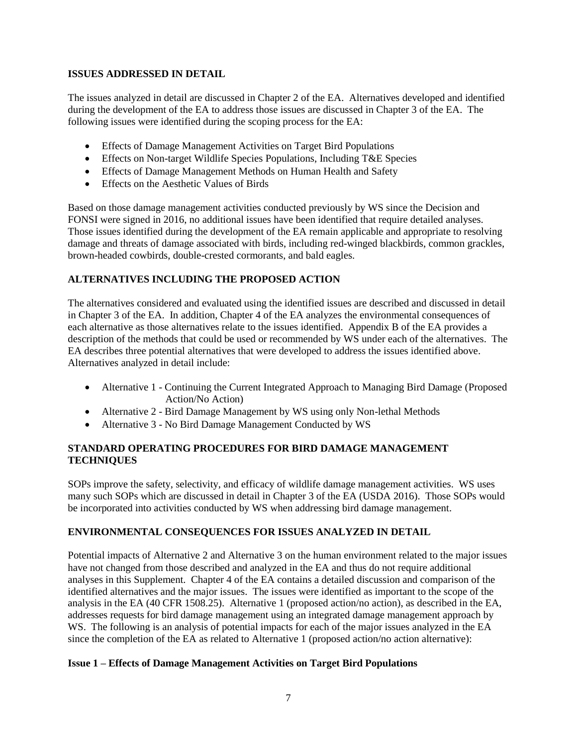# **ISSUES ADDRESSED IN DETAIL**

The issues analyzed in detail are discussed in Chapter 2 of the EA. Alternatives developed and identified during the development of the EA to address those issues are discussed in Chapter 3 of the EA. The following issues were identified during the scoping process for the EA:

- Effects of Damage Management Activities on Target Bird Populations
- Effects on Non-target Wildlife Species Populations, Including T&E Species
- Effects of Damage Management Methods on Human Health and Safety
- Effects on the Aesthetic Values of Birds

Based on those damage management activities conducted previously by WS since the Decision and FONSI were signed in 2016, no additional issues have been identified that require detailed analyses. Those issues identified during the development of the EA remain applicable and appropriate to resolving damage and threats of damage associated with birds, including red-winged blackbirds, common grackles, brown-headed cowbirds, double-crested cormorants, and bald eagles.

# **ALTERNATIVES INCLUDING THE PROPOSED ACTION**

The alternatives considered and evaluated using the identified issues are described and discussed in detail in Chapter 3 of the EA. In addition, Chapter 4 of the EA analyzes the environmental consequences of each alternative as those alternatives relate to the issues identified. Appendix B of the EA provides a description of the methods that could be used or recommended by WS under each of the alternatives. The EA describes three potential alternatives that were developed to address the issues identified above. Alternatives analyzed in detail include:

- Alternative 1 Continuing the Current Integrated Approach to Managing Bird Damage (Proposed Action/No Action)
- Alternative 2 Bird Damage Management by WS using only Non-lethal Methods
- Alternative 3 No Bird Damage Management Conducted by WS

# **STANDARD OPERATING PROCEDURES FOR BIRD DAMAGE MANAGEMENT TECHNIQUES**

SOPs improve the safety, selectivity, and efficacy of wildlife damage management activities. WS uses many such SOPs which are discussed in detail in Chapter 3 of the EA (USDA 2016). Those SOPs would be incorporated into activities conducted by WS when addressing bird damage management.

# **ENVIRONMENTAL CONSEQUENCES FOR ISSUES ANALYZED IN DETAIL**

Potential impacts of Alternative 2 and Alternative 3 on the human environment related to the major issues have not changed from those described and analyzed in the EA and thus do not require additional analyses in this Supplement. Chapter 4 of the EA contains a detailed discussion and comparison of the identified alternatives and the major issues. The issues were identified as important to the scope of the analysis in the EA (40 CFR 1508.25). Alternative 1 (proposed action/no action), as described in the EA, addresses requests for bird damage management using an integrated damage management approach by WS. The following is an analysis of potential impacts for each of the major issues analyzed in the EA since the completion of the EA as related to Alternative 1 (proposed action/no action alternative):

# **Issue 1 – Effects of Damage Management Activities on Target Bird Populations**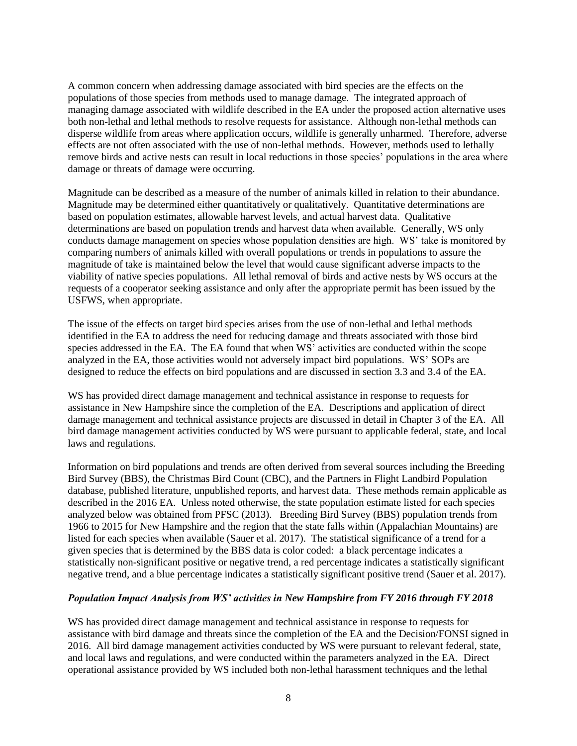A common concern when addressing damage associated with bird species are the effects on the populations of those species from methods used to manage damage. The integrated approach of managing damage associated with wildlife described in the EA under the proposed action alternative uses both non-lethal and lethal methods to resolve requests for assistance. Although non-lethal methods can disperse wildlife from areas where application occurs, wildlife is generally unharmed. Therefore, adverse effects are not often associated with the use of non-lethal methods. However, methods used to lethally remove birds and active nests can result in local reductions in those species' populations in the area where damage or threats of damage were occurring.

Magnitude can be described as a measure of the number of animals killed in relation to their abundance. Magnitude may be determined either quantitatively or qualitatively. Quantitative determinations are based on population estimates, allowable harvest levels, and actual harvest data. Qualitative determinations are based on population trends and harvest data when available. Generally, WS only conducts damage management on species whose population densities are high. WS' take is monitored by comparing numbers of animals killed with overall populations or trends in populations to assure the magnitude of take is maintained below the level that would cause significant adverse impacts to the viability of native species populations. All lethal removal of birds and active nests by WS occurs at the requests of a cooperator seeking assistance and only after the appropriate permit has been issued by the USFWS, when appropriate.

The issue of the effects on target bird species arises from the use of non-lethal and lethal methods identified in the EA to address the need for reducing damage and threats associated with those bird species addressed in the EA. The EA found that when WS' activities are conducted within the scope analyzed in the EA, those activities would not adversely impact bird populations. WS' SOPs are designed to reduce the effects on bird populations and are discussed in section 3.3 and 3.4 of the EA.

WS has provided direct damage management and technical assistance in response to requests for assistance in New Hampshire since the completion of the EA. Descriptions and application of direct damage management and technical assistance projects are discussed in detail in Chapter 3 of the EA. All bird damage management activities conducted by WS were pursuant to applicable federal, state, and local laws and regulations.

Information on bird populations and trends are often derived from several sources including the Breeding Bird Survey (BBS), the Christmas Bird Count (CBC), and the Partners in Flight Landbird Population database, published literature, unpublished reports, and harvest data. These methods remain applicable as described in the 2016 EA. Unless noted otherwise, the state population estimate listed for each species analyzed below was obtained from PFSC (2013). Breeding Bird Survey (BBS) population trends from 1966 to 2015 for New Hampshire and the region that the state falls within (Appalachian Mountains) are listed for each species when available (Sauer et al. 2017). The statistical significance of a trend for a given species that is determined by the BBS data is color coded: a black percentage indicates a statistically non-significant positive or negative trend, a red percentage indicates a statistically significant negative trend, and a blue percentage indicates a statistically significant positive trend (Sauer et al. 2017).

#### *Population Impact Analysis from WS' activities in New Hampshire from FY 2016 through FY 2018*

WS has provided direct damage management and technical assistance in response to requests for assistance with bird damage and threats since the completion of the EA and the Decision/FONSI signed in 2016. All bird damage management activities conducted by WS were pursuant to relevant federal, state, and local laws and regulations, and were conducted within the parameters analyzed in the EA. Direct operational assistance provided by WS included both non-lethal harassment techniques and the lethal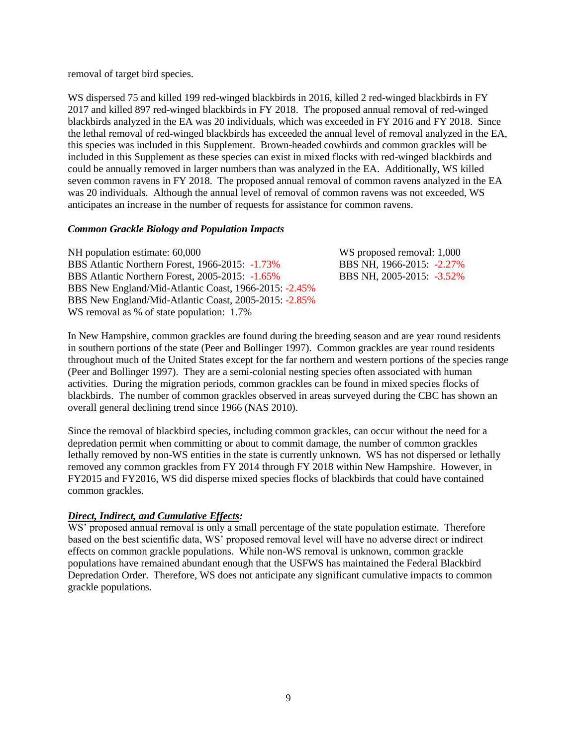removal of target bird species.

WS dispersed 75 and killed 199 red-winged blackbirds in 2016, killed 2 red-winged blackbirds in FY 2017 and killed 897 red-winged blackbirds in FY 2018. The proposed annual removal of red-winged blackbirds analyzed in the EA was 20 individuals, which was exceeded in FY 2016 and FY 2018. Since the lethal removal of red-winged blackbirds has exceeded the annual level of removal analyzed in the EA, this species was included in this Supplement. Brown-headed cowbirds and common grackles will be included in this Supplement as these species can exist in mixed flocks with red-winged blackbirds and could be annually removed in larger numbers than was analyzed in the EA. Additionally, WS killed seven common ravens in FY 2018. The proposed annual removal of common ravens analyzed in the EA was 20 individuals. Although the annual level of removal of common ravens was not exceeded, WS anticipates an increase in the number of requests for assistance for common ravens.

# *Common Grackle Biology and Population Impacts*

| NH population estimate: 60,000                        | WS proposed removal: 1,000 |
|-------------------------------------------------------|----------------------------|
| BBS Atlantic Northern Forest, 1966-2015: -1.73%       | BBS NH, 1966-2015: -2.27%  |
| BBS Atlantic Northern Forest, 2005-2015: -1.65%       | BBS NH, 2005-2015: -3.52%  |
| BBS New England/Mid-Atlantic Coast, 1966-2015: -2.45% |                            |
| BBS New England/Mid-Atlantic Coast, 2005-2015: -2.85% |                            |
| WS removal as % of state population: 1.7%             |                            |

In New Hampshire, common grackles are found during the breeding season and are year round residents in southern portions of the state (Peer and Bollinger 1997). Common grackles are year round residents throughout much of the United States except for the far northern and western portions of the species range (Peer and Bollinger 1997). They are a semi-colonial nesting species often associated with human activities. During the migration periods, common grackles can be found in mixed species flocks of blackbirds. The number of common grackles observed in areas surveyed during the CBC has shown an overall general declining trend since 1966 (NAS 2010).

Since the removal of blackbird species, including common grackles, can occur without the need for a depredation permit when committing or about to commit damage, the number of common grackles lethally removed by non-WS entities in the state is currently unknown. WS has not dispersed or lethally removed any common grackles from FY 2014 through FY 2018 within New Hampshire. However, in FY2015 and FY2016, WS did disperse mixed species flocks of blackbirds that could have contained common grackles.

# *Direct, Indirect, and Cumulative Effects:*

WS' proposed annual removal is only a small percentage of the state population estimate. Therefore based on the best scientific data, WS' proposed removal level will have no adverse direct or indirect effects on common grackle populations. While non-WS removal is unknown, common grackle populations have remained abundant enough that the USFWS has maintained the Federal Blackbird Depredation Order. Therefore, WS does not anticipate any significant cumulative impacts to common grackle populations.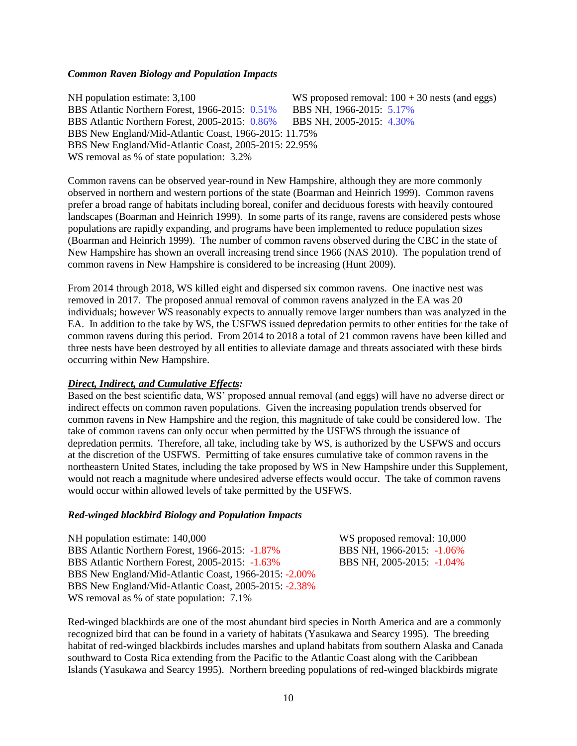#### *Common Raven Biology and Population Impacts*

NH population estimate: 3,100 WS proposed removal:  $100 + 30$  nests (and eggs) BBS Atlantic Northern Forest, 1966-2015: 0.51% BBS NH, 1966-2015: 5.17% BBS Atlantic Northern Forest, 2005-2015: 0.86% BBS NH, 2005-2015: 4.30% BBS New England/Mid-Atlantic Coast, 1966-2015: 11.75% BBS New England/Mid-Atlantic Coast, 2005-2015: 22.95% WS removal as % of state population:  $3.2%$ 

Common ravens can be observed year-round in New Hampshire, although they are more commonly observed in northern and western portions of the state (Boarman and Heinrich 1999). Common ravens prefer a broad range of habitats including boreal, conifer and deciduous forests with heavily contoured landscapes (Boarman and Heinrich 1999). In some parts of its range, ravens are considered pests whose populations are rapidly expanding, and programs have been implemented to reduce population sizes (Boarman and Heinrich 1999). The number of common ravens observed during the CBC in the state of New Hampshire has shown an overall increasing trend since 1966 (NAS 2010). The population trend of common ravens in New Hampshire is considered to be increasing (Hunt 2009).

From 2014 through 2018, WS killed eight and dispersed six common ravens. One inactive nest was removed in 2017. The proposed annual removal of common ravens analyzed in the EA was 20 individuals; however WS reasonably expects to annually remove larger numbers than was analyzed in the EA. In addition to the take by WS, the USFWS issued depredation permits to other entities for the take of common ravens during this period. From 2014 to 2018 a total of 21 common ravens have been killed and three nests have been destroyed by all entities to alleviate damage and threats associated with these birds occurring within New Hampshire.

#### *Direct, Indirect, and Cumulative Effects:*

Based on the best scientific data, WS' proposed annual removal (and eggs) will have no adverse direct or indirect effects on common raven populations. Given the increasing population trends observed for common ravens in New Hampshire and the region, this magnitude of take could be considered low. The take of common ravens can only occur when permitted by the USFWS through the issuance of depredation permits. Therefore, all take, including take by WS, is authorized by the USFWS and occurs at the discretion of the USFWS. Permitting of take ensures cumulative take of common ravens in the northeastern United States, including the take proposed by WS in New Hampshire under this Supplement, would not reach a magnitude where undesired adverse effects would occur. The take of common ravens would occur within allowed levels of take permitted by the USFWS.

### *Red-winged blackbird Biology and Population Impacts*

NH population estimate: 140,000 WS proposed removal: 10,000 BBS Atlantic Northern Forest, 1966-2015: -1.87% BBS NH, 1966-2015: -1.06% BBS Atlantic Northern Forest, 2005-2015: -1.63% BBS NH, 2005-2015: -1.04% BBS New England/Mid-Atlantic Coast, 1966-2015: -2.00% BBS New England/Mid-Atlantic Coast, 2005-2015: -2.38% WS removal as % of state population:  $7.1\%$ 

Red-winged blackbirds are one of the most abundant bird species in North America and are a commonly recognized bird that can be found in a variety of habitats (Yasukawa and Searcy 1995). The breeding habitat of red-winged blackbirds includes marshes and upland habitats from southern Alaska and Canada southward to Costa Rica extending from the Pacific to the Atlantic Coast along with the Caribbean Islands (Yasukawa and Searcy 1995). Northern breeding populations of red-winged blackbirds migrate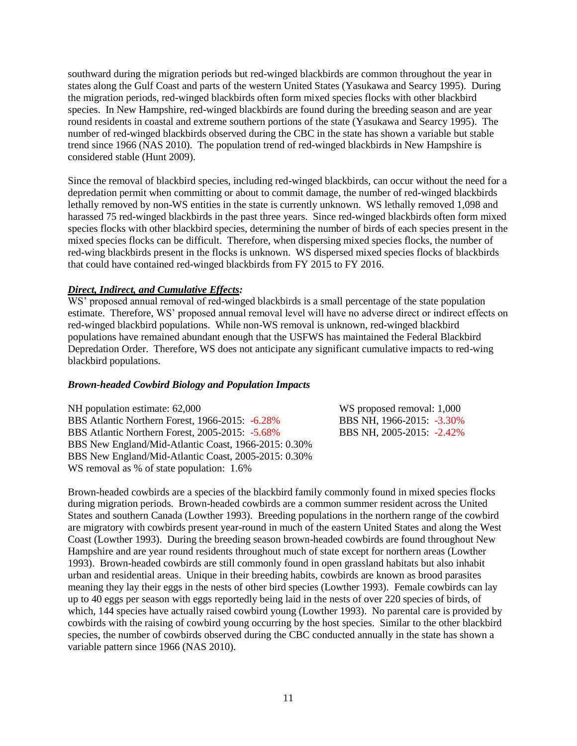southward during the migration periods but red-winged blackbirds are common throughout the year in states along the Gulf Coast and parts of the western United States (Yasukawa and Searcy 1995). During the migration periods, red-winged blackbirds often form mixed species flocks with other blackbird species. In New Hampshire, red-winged blackbirds are found during the breeding season and are year round residents in coastal and extreme southern portions of the state (Yasukawa and Searcy 1995). The number of red-winged blackbirds observed during the CBC in the state has shown a variable but stable trend since 1966 (NAS 2010). The population trend of red-winged blackbirds in New Hampshire is considered stable (Hunt 2009).

Since the removal of blackbird species, including red-winged blackbirds, can occur without the need for a depredation permit when committing or about to commit damage, the number of red-winged blackbirds lethally removed by non-WS entities in the state is currently unknown. WS lethally removed 1,098 and harassed 75 red-winged blackbirds in the past three years. Since red-winged blackbirds often form mixed species flocks with other blackbird species, determining the number of birds of each species present in the mixed species flocks can be difficult. Therefore, when dispersing mixed species flocks, the number of red-wing blackbirds present in the flocks is unknown. WS dispersed mixed species flocks of blackbirds that could have contained red-winged blackbirds from FY 2015 to FY 2016.

# *Direct, Indirect, and Cumulative Effects:*

WS' proposed annual removal of red-winged blackbirds is a small percentage of the state population estimate. Therefore, WS' proposed annual removal level will have no adverse direct or indirect effects on red-winged blackbird populations. While non-WS removal is unknown, red-winged blackbird populations have remained abundant enough that the USFWS has maintained the Federal Blackbird Depredation Order. Therefore, WS does not anticipate any significant cumulative impacts to red-wing blackbird populations.

# *Brown-headed Cowbird Biology and Population Impacts*

| NH population estimate: 62,000                       | WS proposed removal: 1,000 |
|------------------------------------------------------|----------------------------|
| BBS Atlantic Northern Forest, 1966-2015: -6.28%      | BBS NH, 1966-2015: -3.30%  |
| BBS Atlantic Northern Forest, 2005-2015: -5.68%      | BBS NH, 2005-2015: -2.42%  |
| BBS New England/Mid-Atlantic Coast, 1966-2015: 0.30% |                            |
| BBS New England/Mid-Atlantic Coast, 2005-2015: 0.30% |                            |
| WS removal as % of state population: 1.6%            |                            |

Brown-headed cowbirds are a species of the blackbird family commonly found in mixed species flocks during migration periods. Brown-headed cowbirds are a common summer resident across the United States and southern Canada (Lowther 1993). Breeding populations in the northern range of the cowbird are migratory with cowbirds present year-round in much of the eastern United States and along the West Coast (Lowther 1993). During the breeding season brown-headed cowbirds are found throughout New Hampshire and are year round residents throughout much of state except for northern areas (Lowther 1993). Brown-headed cowbirds are still commonly found in open grassland habitats but also inhabit urban and residential areas. Unique in their breeding habits, cowbirds are known as brood parasites meaning they lay their eggs in the nests of other bird species (Lowther 1993). Female cowbirds can lay up to 40 eggs per season with eggs reportedly being laid in the nests of over 220 species of birds, of which, 144 species have actually raised cowbird young (Lowther 1993). No parental care is provided by cowbirds with the raising of cowbird young occurring by the host species. Similar to the other blackbird species, the number of cowbirds observed during the CBC conducted annually in the state has shown a variable pattern since 1966 (NAS 2010).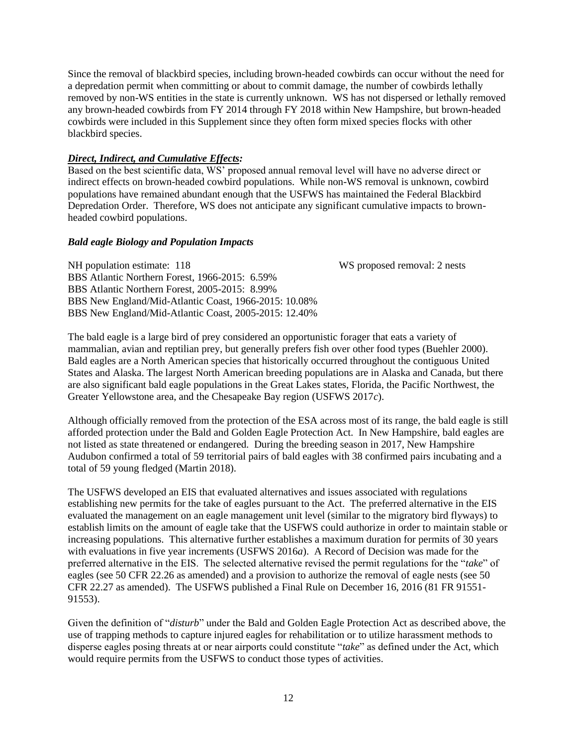Since the removal of blackbird species, including brown-headed cowbirds can occur without the need for a depredation permit when committing or about to commit damage, the number of cowbirds lethally removed by non-WS entities in the state is currently unknown. WS has not dispersed or lethally removed any brown-headed cowbirds from FY 2014 through FY 2018 within New Hampshire, but brown-headed cowbirds were included in this Supplement since they often form mixed species flocks with other blackbird species.

# *Direct, Indirect, and Cumulative Effects:*

Based on the best scientific data, WS' proposed annual removal level will have no adverse direct or indirect effects on brown-headed cowbird populations. While non-WS removal is unknown, cowbird populations have remained abundant enough that the USFWS has maintained the Federal Blackbird Depredation Order. Therefore, WS does not anticipate any significant cumulative impacts to brownheaded cowbird populations.

# *Bald eagle Biology and Population Impacts*

NH population estimate: 118 WS proposed removal: 2 nests BBS Atlantic Northern Forest, 1966-2015: 6.59% BBS Atlantic Northern Forest, 2005-2015: 8.99% BBS New England/Mid-Atlantic Coast, 1966-2015: 10.08% BBS New England/Mid-Atlantic Coast, 2005-2015: 12.40%

The bald eagle is a large bird of prey considered an opportunistic forager that eats a variety of mammalian, avian and reptilian prey, but generally prefers fish over other food types (Buehler 2000). Bald eagles are a North American species that historically occurred throughout the contiguous United States and Alaska. The largest North American breeding populations are in Alaska and Canada, but there are also significant bald eagle populations in the Great Lakes states, Florida, the Pacific Northwest, the Greater Yellowstone area, and the Chesapeake Bay region (USFWS 2017*c*).

Although officially removed from the protection of the ESA across most of its range, the bald eagle is still afforded protection under the Bald and Golden Eagle Protection Act. In New Hampshire, bald eagles are not listed as state threatened or endangered. During the breeding season in 2017, New Hampshire Audubon confirmed a total of 59 territorial pairs of bald eagles with 38 confirmed pairs incubating and a total of 59 young fledged (Martin 2018).

The USFWS developed an EIS that evaluated alternatives and issues associated with regulations establishing new permits for the take of eagles pursuant to the Act. The preferred alternative in the EIS evaluated the management on an eagle management unit level (similar to the migratory bird flyways) to establish limits on the amount of eagle take that the USFWS could authorize in order to maintain stable or increasing populations. This alternative further establishes a maximum duration for permits of 30 years with evaluations in five year increments (USFWS 2016*a*). A Record of Decision was made for the preferred alternative in the EIS. The selected alternative revised the permit regulations for the "*take*" of eagles (see 50 CFR 22.26 as amended) and a provision to authorize the removal of eagle nests (see 50 CFR 22.27 as amended). The USFWS published a Final Rule on December 16, 2016 (81 FR 91551- 91553).

Given the definition of "*disturb*" under the Bald and Golden Eagle Protection Act as described above, the use of trapping methods to capture injured eagles for rehabilitation or to utilize harassment methods to disperse eagles posing threats at or near airports could constitute "*take*" as defined under the Act, which would require permits from the USFWS to conduct those types of activities.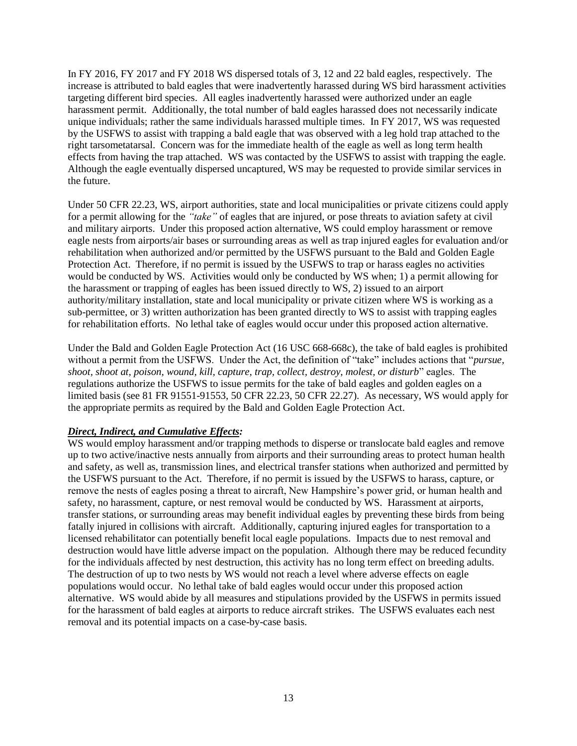In FY 2016, FY 2017 and FY 2018 WS dispersed totals of 3, 12 and 22 bald eagles, respectively. The increase is attributed to bald eagles that were inadvertently harassed during WS bird harassment activities targeting different bird species. All eagles inadvertently harassed were authorized under an eagle harassment permit. Additionally, the total number of bald eagles harassed does not necessarily indicate unique individuals; rather the same individuals harassed multiple times. In FY 2017, WS was requested by the USFWS to assist with trapping a bald eagle that was observed with a leg hold trap attached to the right tarsometatarsal. Concern was for the immediate health of the eagle as well as long term health effects from having the trap attached. WS was contacted by the USFWS to assist with trapping the eagle. Although the eagle eventually dispersed uncaptured, WS may be requested to provide similar services in the future.

Under 50 CFR 22.23, WS, airport authorities, state and local municipalities or private citizens could apply for a permit allowing for the *"take"* of eagles that are injured, or pose threats to aviation safety at civil and military airports. Under this proposed action alternative, WS could employ harassment or remove eagle nests from airports/air bases or surrounding areas as well as trap injured eagles for evaluation and/or rehabilitation when authorized and/or permitted by the USFWS pursuant to the Bald and Golden Eagle Protection Act. Therefore, if no permit is issued by the USFWS to trap or harass eagles no activities would be conducted by WS. Activities would only be conducted by WS when; 1) a permit allowing for the harassment or trapping of eagles has been issued directly to WS, 2) issued to an airport authority/military installation, state and local municipality or private citizen where WS is working as a sub-permittee, or 3) written authorization has been granted directly to WS to assist with trapping eagles for rehabilitation efforts. No lethal take of eagles would occur under this proposed action alternative.

Under the Bald and Golden Eagle Protection Act (16 USC 668-668c), the take of bald eagles is prohibited without a permit from the USFWS. Under the Act, the definition of "take" includes actions that "*pursue, shoot, shoot at, poison, wound, kill, capture, trap, collect, destroy, molest, or disturb*" eagles. The regulations authorize the USFWS to issue permits for the take of bald eagles and golden eagles on a limited basis (see 81 FR 91551-91553, 50 CFR 22.23, 50 CFR 22.27). As necessary, WS would apply for the appropriate permits as required by the Bald and Golden Eagle Protection Act.

# *Direct, Indirect, and Cumulative Effects:*

WS would employ harassment and/or trapping methods to disperse or translocate bald eagles and remove up to two active/inactive nests annually from airports and their surrounding areas to protect human health and safety, as well as, transmission lines, and electrical transfer stations when authorized and permitted by the USFWS pursuant to the Act. Therefore, if no permit is issued by the USFWS to harass, capture, or remove the nests of eagles posing a threat to aircraft, New Hampshire's power grid, or human health and safety, no harassment, capture, or nest removal would be conducted by WS. Harassment at airports, transfer stations, or surrounding areas may benefit individual eagles by preventing these birds from being fatally injured in collisions with aircraft. Additionally, capturing injured eagles for transportation to a licensed rehabilitator can potentially benefit local eagle populations. Impacts due to nest removal and destruction would have little adverse impact on the population. Although there may be reduced fecundity for the individuals affected by nest destruction, this activity has no long term effect on breeding adults. The destruction of up to two nests by WS would not reach a level where adverse effects on eagle populations would occur. No lethal take of bald eagles would occur under this proposed action alternative. WS would abide by all measures and stipulations provided by the USFWS in permits issued for the harassment of bald eagles at airports to reduce aircraft strikes. The USFWS evaluates each nest removal and its potential impacts on a case-by-case basis.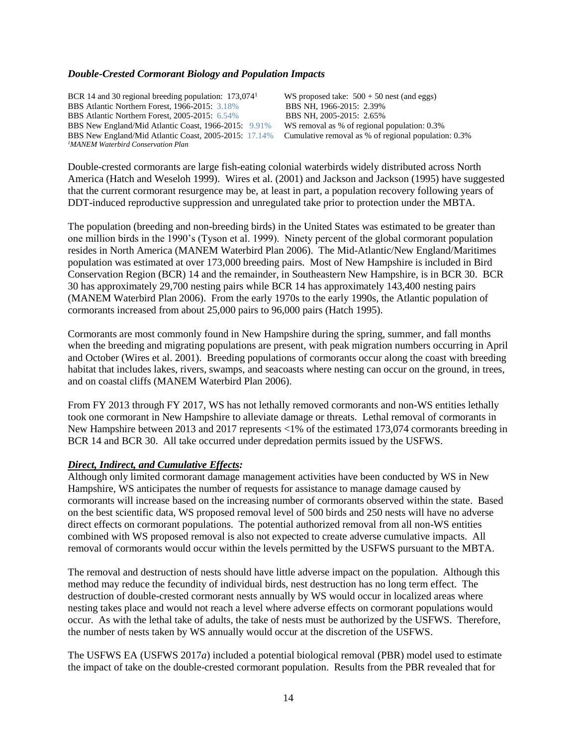#### *Double-Crested Cormorant Biology and Population Impacts*

BCR 14 and 30 regional breeding population: 173,074<sup>1</sup> BBS Atlantic Northern Forest, 1966-2015: 3.18% BBS NH, 1966-2015: 2.39% BBS Atlantic Northern Forest, 2005-2015: 6.54% BBS NH, 2005-2015: 2.65% BBS New England/Mid Atlantic Coast, 1966-2015: 9.91% WS removal as % of regional population: 0.3% BBS New England/Mid Atlantic Coast, 2005-2015: 17.14% Cumulative removal as % of regional population: 0.3% *<sup>1</sup>MANEM Waterbird Conservation Plan*

WS proposed take:  $500 + 50$  nest (and eggs)

Double-crested cormorants are large fish-eating colonial waterbirds widely distributed across North America (Hatch and Weseloh 1999). Wires et al. (2001) and Jackson and Jackson (1995) have suggested that the current cormorant resurgence may be, at least in part, a population recovery following years of DDT-induced reproductive suppression and unregulated take prior to protection under the MBTA.

The population (breeding and non-breeding birds) in the United States was estimated to be greater than one million birds in the 1990's (Tyson et al. 1999). Ninety percent of the global cormorant population resides in North America (MANEM Waterbird Plan 2006). The Mid-Atlantic/New England/Maritimes population was estimated at over 173,000 breeding pairs. Most of New Hampshire is included in Bird Conservation Region (BCR) 14 and the remainder, in Southeastern New Hampshire, is in BCR 30. BCR 30 has approximately 29,700 nesting pairs while BCR 14 has approximately 143,400 nesting pairs (MANEM Waterbird Plan 2006). From the early 1970s to the early 1990s, the Atlantic population of cormorants increased from about 25,000 pairs to 96,000 pairs (Hatch 1995).

Cormorants are most commonly found in New Hampshire during the spring, summer, and fall months when the breeding and migrating populations are present, with peak migration numbers occurring in April and October (Wires et al. 2001). Breeding populations of cormorants occur along the coast with breeding habitat that includes lakes, rivers, swamps, and seacoasts where nesting can occur on the ground, in trees, and on coastal cliffs (MANEM Waterbird Plan 2006).

From FY 2013 through FY 2017, WS has not lethally removed cormorants and non-WS entities lethally took one cormorant in New Hampshire to alleviate damage or threats. Lethal removal of cormorants in New Hampshire between 2013 and 2017 represents <1% of the estimated 173,074 cormorants breeding in BCR 14 and BCR 30. All take occurred under depredation permits issued by the USFWS.

#### *Direct, Indirect, and Cumulative Effects:*

Although only limited cormorant damage management activities have been conducted by WS in New Hampshire, WS anticipates the number of requests for assistance to manage damage caused by cormorants will increase based on the increasing number of cormorants observed within the state. Based on the best scientific data, WS proposed removal level of 500 birds and 250 nests will have no adverse direct effects on cormorant populations. The potential authorized removal from all non-WS entities combined with WS proposed removal is also not expected to create adverse cumulative impacts. All removal of cormorants would occur within the levels permitted by the USFWS pursuant to the MBTA.

The removal and destruction of nests should have little adverse impact on the population. Although this method may reduce the fecundity of individual birds, nest destruction has no long term effect. The destruction of double-crested cormorant nests annually by WS would occur in localized areas where nesting takes place and would not reach a level where adverse effects on cormorant populations would occur. As with the lethal take of adults, the take of nests must be authorized by the USFWS. Therefore, the number of nests taken by WS annually would occur at the discretion of the USFWS.

The USFWS EA (USFWS 2017*a*) included a potential biological removal (PBR) model used to estimate the impact of take on the double-crested cormorant population. Results from the PBR revealed that for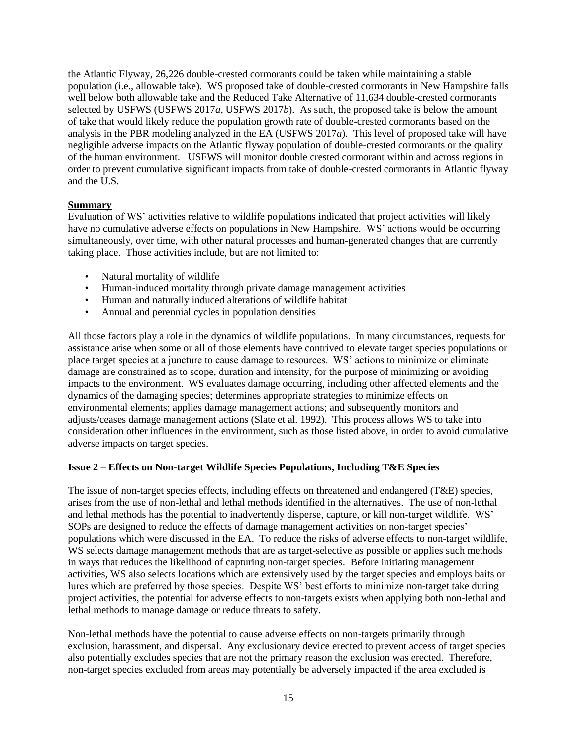the Atlantic Flyway, 26,226 double-crested cormorants could be taken while maintaining a stable population (i.e., allowable take). WS proposed take of double-crested cormorants in New Hampshire falls well below both allowable take and the Reduced Take Alternative of 11,634 double-crested cormorants selected by USFWS (USFWS 2017*a*, USFWS 2017*b*). As such, the proposed take is below the amount of take that would likely reduce the population growth rate of double-crested cormorants based on the analysis in the PBR modeling analyzed in the EA (USFWS 2017*a*). This level of proposed take will have negligible adverse impacts on the Atlantic flyway population of double-crested cormorants or the quality of the human environment. USFWS will monitor double crested cormorant within and across regions in order to prevent cumulative significant impacts from take of double-crested cormorants in Atlantic flyway and the U.S.

# **Summary**

Evaluation of WS' activities relative to wildlife populations indicated that project activities will likely have no cumulative adverse effects on populations in New Hampshire. WS' actions would be occurring simultaneously, over time, with other natural processes and human-generated changes that are currently taking place. Those activities include, but are not limited to:

- Natural mortality of wildlife
- Human-induced mortality through private damage management activities
- Human and naturally induced alterations of wildlife habitat
- Annual and perennial cycles in population densities

All those factors play a role in the dynamics of wildlife populations. In many circumstances, requests for assistance arise when some or all of those elements have contrived to elevate target species populations or place target species at a juncture to cause damage to resources. WS' actions to minimize or eliminate damage are constrained as to scope, duration and intensity, for the purpose of minimizing or avoiding impacts to the environment. WS evaluates damage occurring, including other affected elements and the dynamics of the damaging species; determines appropriate strategies to minimize effects on environmental elements; applies damage management actions; and subsequently monitors and adjusts/ceases damage management actions (Slate et al. 1992). This process allows WS to take into consideration other influences in the environment, such as those listed above, in order to avoid cumulative adverse impacts on target species.

# **Issue 2 – Effects on Non-target Wildlife Species Populations, Including T&E Species**

The issue of non-target species effects, including effects on threatened and endangered (T&E) species, arises from the use of non-lethal and lethal methods identified in the alternatives. The use of non-lethal and lethal methods has the potential to inadvertently disperse, capture, or kill non-target wildlife. WS' SOPs are designed to reduce the effects of damage management activities on non-target species' populations which were discussed in the EA. To reduce the risks of adverse effects to non-target wildlife, WS selects damage management methods that are as target-selective as possible or applies such methods in ways that reduces the likelihood of capturing non-target species. Before initiating management activities, WS also selects locations which are extensively used by the target species and employs baits or lures which are preferred by those species. Despite WS' best efforts to minimize non-target take during project activities, the potential for adverse effects to non-targets exists when applying both non-lethal and lethal methods to manage damage or reduce threats to safety.

Non-lethal methods have the potential to cause adverse effects on non-targets primarily through exclusion, harassment, and dispersal. Any exclusionary device erected to prevent access of target species also potentially excludes species that are not the primary reason the exclusion was erected. Therefore, non-target species excluded from areas may potentially be adversely impacted if the area excluded is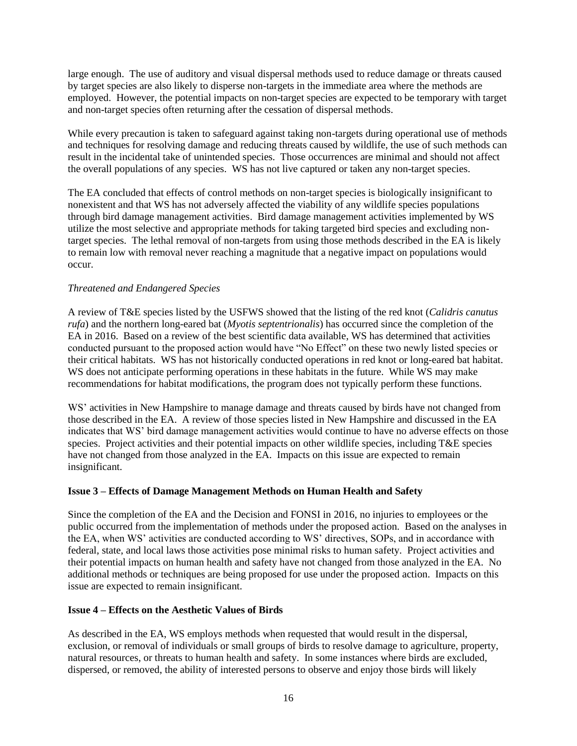large enough. The use of auditory and visual dispersal methods used to reduce damage or threats caused by target species are also likely to disperse non-targets in the immediate area where the methods are employed. However, the potential impacts on non-target species are expected to be temporary with target and non-target species often returning after the cessation of dispersal methods.

While every precaution is taken to safeguard against taking non-targets during operational use of methods and techniques for resolving damage and reducing threats caused by wildlife, the use of such methods can result in the incidental take of unintended species. Those occurrences are minimal and should not affect the overall populations of any species. WS has not live captured or taken any non-target species.

The EA concluded that effects of control methods on non-target species is biologically insignificant to nonexistent and that WS has not adversely affected the viability of any wildlife species populations through bird damage management activities. Bird damage management activities implemented by WS utilize the most selective and appropriate methods for taking targeted bird species and excluding nontarget species. The lethal removal of non-targets from using those methods described in the EA is likely to remain low with removal never reaching a magnitude that a negative impact on populations would occur.

# *Threatened and Endangered Species*

A review of T&E species listed by the USFWS showed that the listing of the red knot (*Calidris canutus rufa*) and the northern long-eared bat (*Myotis septentrionalis*) has occurred since the completion of the EA in 2016. Based on a review of the best scientific data available, WS has determined that activities conducted pursuant to the proposed action would have "No Effect" on these two newly listed species or their critical habitats. WS has not historically conducted operations in red knot or long-eared bat habitat. WS does not anticipate performing operations in these habitats in the future. While WS may make recommendations for habitat modifications, the program does not typically perform these functions.

WS' activities in New Hampshire to manage damage and threats caused by birds have not changed from those described in the EA. A review of those species listed in New Hampshire and discussed in the EA indicates that WS' bird damage management activities would continue to have no adverse effects on those species. Project activities and their potential impacts on other wildlife species, including T&E species have not changed from those analyzed in the EA. Impacts on this issue are expected to remain insignificant.

# **Issue 3 – Effects of Damage Management Methods on Human Health and Safety**

Since the completion of the EA and the Decision and FONSI in 2016, no injuries to employees or the public occurred from the implementation of methods under the proposed action. Based on the analyses in the EA, when WS' activities are conducted according to WS' directives, SOPs, and in accordance with federal, state, and local laws those activities pose minimal risks to human safety. Project activities and their potential impacts on human health and safety have not changed from those analyzed in the EA. No additional methods or techniques are being proposed for use under the proposed action. Impacts on this issue are expected to remain insignificant.

# **Issue 4 – Effects on the Aesthetic Values of Birds**

As described in the EA, WS employs methods when requested that would result in the dispersal, exclusion, or removal of individuals or small groups of birds to resolve damage to agriculture, property, natural resources, or threats to human health and safety. In some instances where birds are excluded, dispersed, or removed, the ability of interested persons to observe and enjoy those birds will likely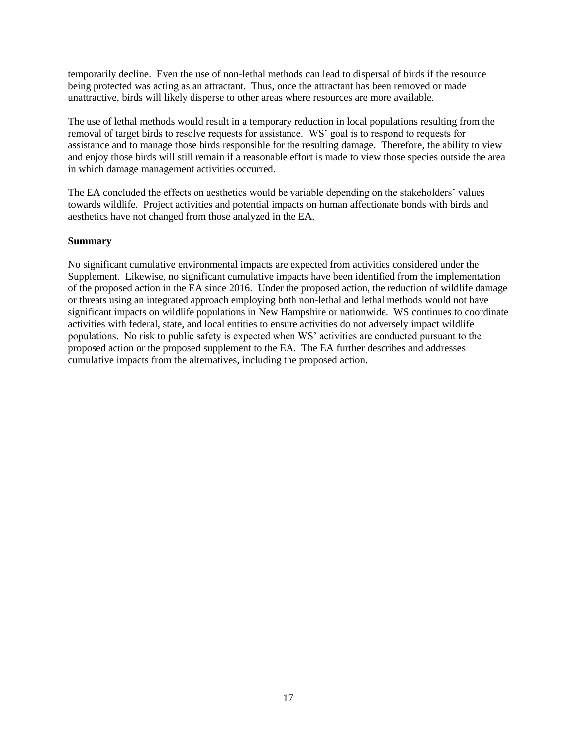temporarily decline. Even the use of non-lethal methods can lead to dispersal of birds if the resource being protected was acting as an attractant. Thus, once the attractant has been removed or made unattractive, birds will likely disperse to other areas where resources are more available.

The use of lethal methods would result in a temporary reduction in local populations resulting from the removal of target birds to resolve requests for assistance. WS' goal is to respond to requests for assistance and to manage those birds responsible for the resulting damage. Therefore, the ability to view and enjoy those birds will still remain if a reasonable effort is made to view those species outside the area in which damage management activities occurred.

The EA concluded the effects on aesthetics would be variable depending on the stakeholders' values towards wildlife. Project activities and potential impacts on human affectionate bonds with birds and aesthetics have not changed from those analyzed in the EA.

# **Summary**

No significant cumulative environmental impacts are expected from activities considered under the Supplement. Likewise, no significant cumulative impacts have been identified from the implementation of the proposed action in the EA since 2016. Under the proposed action, the reduction of wildlife damage or threats using an integrated approach employing both non-lethal and lethal methods would not have significant impacts on wildlife populations in New Hampshire or nationwide. WS continues to coordinate activities with federal, state, and local entities to ensure activities do not adversely impact wildlife populations. No risk to public safety is expected when WS' activities are conducted pursuant to the proposed action or the proposed supplement to the EA. The EA further describes and addresses cumulative impacts from the alternatives, including the proposed action.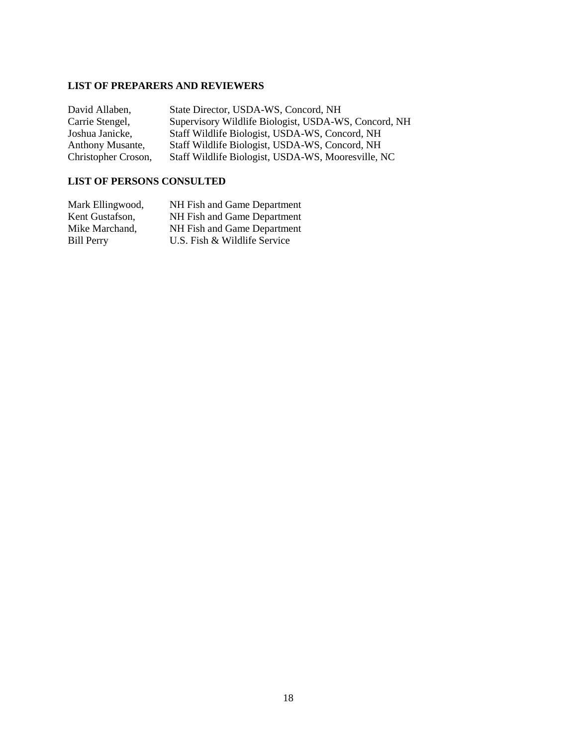# **LIST OF PREPARERS AND REVIEWERS**

| David Allaben,          | State Director, USDA-WS, Concord, NH                 |
|-------------------------|------------------------------------------------------|
| Carrie Stengel,         | Supervisory Wildlife Biologist, USDA-WS, Concord, NH |
| Joshua Janicke,         | Staff Wildlife Biologist, USDA-WS, Concord, NH       |
| <b>Anthony Musante,</b> | Staff Wildlife Biologist, USDA-WS, Concord, NH       |
| Christopher Croson,     | Staff Wildlife Biologist, USDA-WS, Mooresville, NC   |

# **LIST OF PERSONS CONSULTED**

| Mark Ellingwood,  | NH Fish and Game Department  |
|-------------------|------------------------------|
| Kent Gustafson,   | NH Fish and Game Department  |
| Mike Marchand,    | NH Fish and Game Department  |
| <b>Bill Perry</b> | U.S. Fish & Wildlife Service |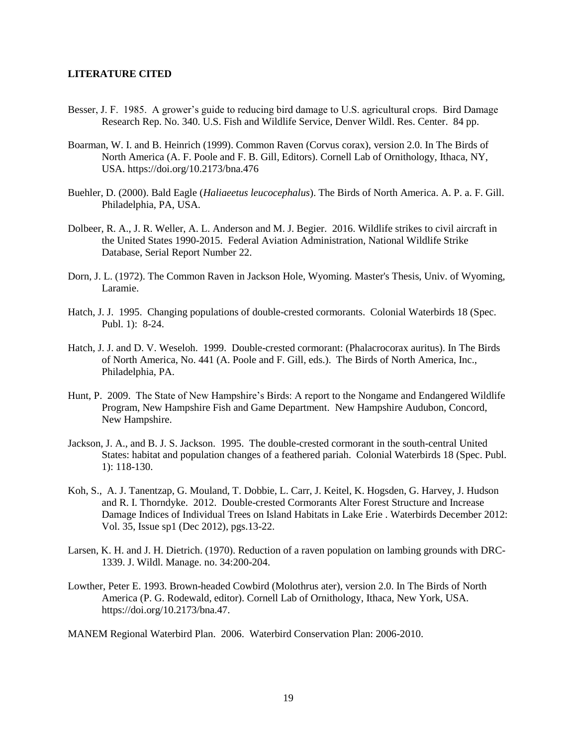#### **LITERATURE CITED**

- Besser, J. F. 1985. A grower's guide to reducing bird damage to U.S. agricultural crops. Bird Damage Research Rep. No. 340. U.S. Fish and Wildlife Service, Denver Wildl. Res. Center. 84 pp.
- Boarman, W. I. and B. Heinrich (1999). Common Raven (Corvus corax), version 2.0. In The Birds of North America (A. F. Poole and F. B. Gill, Editors). Cornell Lab of Ornithology, Ithaca, NY, USA. https://doi.org/10.2173/bna.476
- Buehler, D. (2000). Bald Eagle (*Haliaeetus leucocephalus*). The Birds of North America. A. P. a. F. Gill. Philadelphia, PA, USA.
- Dolbeer, R. A., J. R. Weller, A. L. Anderson and M. J. Begier. 2016. Wildlife strikes to civil aircraft in the United States 1990-2015. Federal Aviation Administration, National Wildlife Strike Database, Serial Report Number 22.
- Dorn, J. L. (1972). The Common Raven in Jackson Hole, Wyoming. Master's Thesis, Univ. of Wyoming, Laramie.
- Hatch, J. J. 1995. Changing populations of double-crested cormorants. Colonial Waterbirds 18 (Spec. Publ. 1): 8-24.
- Hatch, J. J. and D. V. Weseloh. 1999. Double-crested cormorant: (Phalacrocorax auritus). In The Birds of North America, No. 441 (A. Poole and F. Gill, eds.). The Birds of North America, Inc., Philadelphia, PA.
- Hunt, P. 2009. The State of New Hampshire's Birds: A report to the Nongame and Endangered Wildlife Program, New Hampshire Fish and Game Department. New Hampshire Audubon, Concord, New Hampshire.
- Jackson, J. A., and B. J. S. Jackson. 1995. The double-crested cormorant in the south-central United States: habitat and population changes of a feathered pariah. Colonial Waterbirds 18 (Spec. Publ. 1): 118-130.
- Koh, S., A. J. Tanentzap, G. Mouland, T. Dobbie, L. Carr, J. Keitel, K. Hogsden, G. Harvey, J. Hudson and R. I. Thorndyke. 2012. Double-crested Cormorants Alter Forest Structure and Increase Damage Indices of Individual Trees on Island Habitats in Lake Erie . Waterbirds December 2012: Vol. 35, Issue sp1 (Dec 2012), pgs.13-22.
- Larsen, K. H. and J. H. Dietrich. (1970). Reduction of a raven population on lambing grounds with DRC-1339. J. Wildl. Manage. no. 34:200-204.
- Lowther, Peter E. 1993. Brown-headed Cowbird (Molothrus ater), version 2.0. In The Birds of North America (P. G. Rodewald, editor). Cornell Lab of Ornithology, Ithaca, New York, USA. https://doi.org/10.2173/bna.47.

MANEM Regional Waterbird Plan. 2006. Waterbird Conservation Plan: 2006-2010.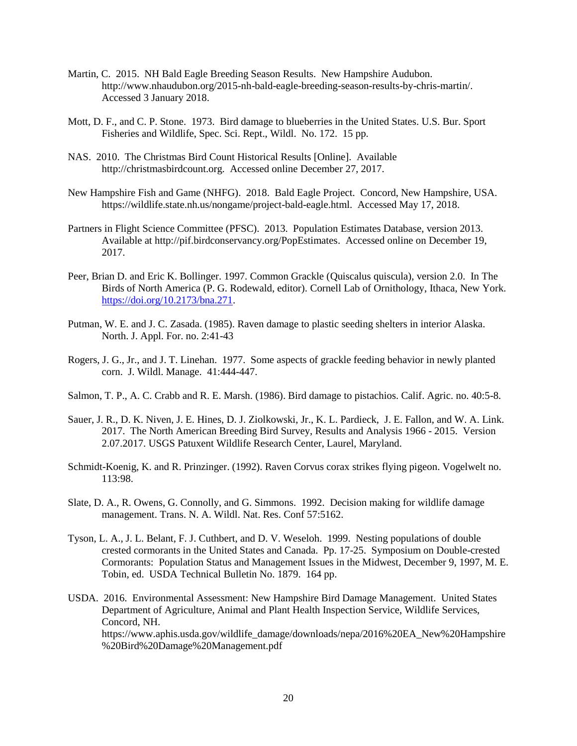- Martin, C. 2015. NH Bald Eagle Breeding Season Results. New Hampshire Audubon. http://www.nhaudubon.org/2015-nh-bald-eagle-breeding-season-results-by-chris-martin/. Accessed 3 January 2018.
- Mott, D. F., and C. P. Stone. 1973. Bird damage to blueberries in the United States. U.S. Bur. Sport Fisheries and Wildlife, Spec. Sci. Rept., Wildl. No. 172. 15 pp.
- NAS. 2010. The Christmas Bird Count Historical Results [Online]. Available http://christmasbirdcount.org. Accessed online December 27, 2017.
- New Hampshire Fish and Game (NHFG). 2018. Bald Eagle Project. Concord, New Hampshire, USA. https://wildlife.state.nh.us/nongame/project-bald-eagle.html. Accessed May 17, 2018.
- Partners in Flight Science Committee (PFSC). 2013. Population Estimates Database, version 2013. Available at http://pif.birdconservancy.org/PopEstimates. Accessed online on December 19, 2017.
- Peer, Brian D. and Eric K. Bollinger. 1997. Common Grackle (Quiscalus quiscula), version 2.0. In The Birds of North America (P. G. Rodewald, editor). Cornell Lab of Ornithology, Ithaca, New York. [https://doi.org/10.2173/bna.271.](https://doi.org/10.2173/bna.271)
- Putman, W. E. and J. C. Zasada. (1985). Raven damage to plastic seeding shelters in interior Alaska. North. J. Appl. For. no. 2:41-43
- Rogers, J. G., Jr., and J. T. Linehan. 1977. Some aspects of grackle feeding behavior in newly planted corn. J. Wildl. Manage. 41:444-447.
- Salmon, T. P., A. C. Crabb and R. E. Marsh. (1986). Bird damage to pistachios. Calif. Agric. no. 40:5-8.
- Sauer, J. R., D. K. Niven, J. E. Hines, D. J. Ziolkowski, Jr., K. L. Pardieck, J. E. Fallon, and W. A. Link. 2017. The North American Breeding Bird Survey, Results and Analysis 1966 - 2015. Version 2.07.2017. USGS Patuxent Wildlife Research Center, Laurel, Maryland.
- Schmidt-Koenig, K. and R. Prinzinger. (1992). Raven Corvus corax strikes flying pigeon. Vogelwelt no. 113:98.
- Slate, D. A., R. Owens, G. Connolly, and G. Simmons. 1992. Decision making for wildlife damage management. Trans. N. A. Wildl. Nat. Res. Conf 57:5162.
- Tyson, L. A., J. L. Belant, F. J. Cuthbert, and D. V. Weseloh. 1999. Nesting populations of double crested cormorants in the United States and Canada. Pp. 17-25. Symposium on Double-crested Cormorants: Population Status and Management Issues in the Midwest, December 9, 1997, M. E. Tobin, ed. USDA Technical Bulletin No. 1879. 164 pp.
- USDA. 2016. Environmental Assessment: New Hampshire Bird Damage Management. United States Department of Agriculture, Animal and Plant Health Inspection Service, Wildlife Services, Concord, NH. https://www.aphis.usda.gov/wildlife\_damage/downloads/nepa/2016%20EA\_New%20Hampshire %20Bird%20Damage%20Management.pdf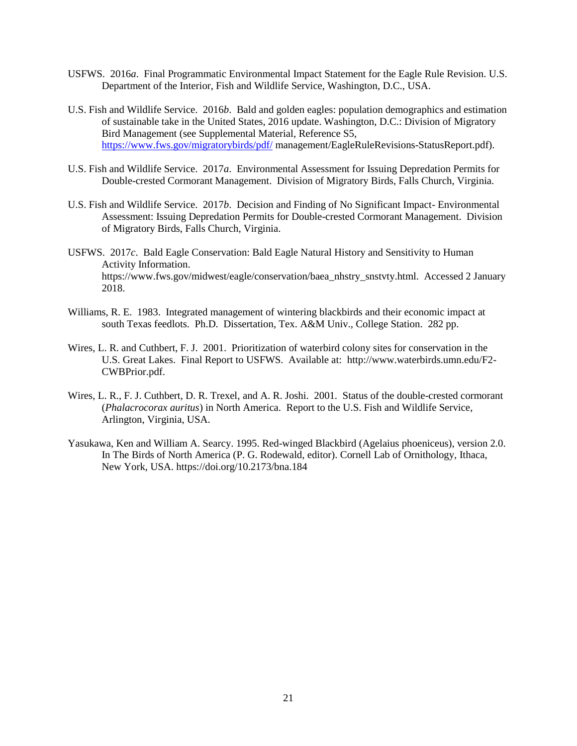- USFWS. 2016*a*. Final Programmatic Environmental Impact Statement for the Eagle Rule Revision. U.S. Department of the Interior, Fish and Wildlife Service, Washington, D.C., USA.
- U.S. Fish and Wildlife Service. 2016*b*. Bald and golden eagles: population demographics and estimation of sustainable take in the United States, 2016 update. Washington, D.C.: Division of Migratory Bird Management (see Supplemental Material, Reference S5, <https://www.fws.gov/migratorybirds/pdf/> management/EagleRuleRevisions-StatusReport.pdf).
- U.S. Fish and Wildlife Service. 2017*a*. Environmental Assessment for Issuing Depredation Permits for Double-crested Cormorant Management. Division of Migratory Birds, Falls Church, Virginia.
- U.S. Fish and Wildlife Service. 2017*b*. Decision and Finding of No Significant Impact- Environmental Assessment: Issuing Depredation Permits for Double-crested Cormorant Management. Division of Migratory Birds, Falls Church, Virginia.
- USFWS. 2017*c*. Bald Eagle Conservation: Bald Eagle Natural History and Sensitivity to Human Activity Information. https://www.fws.gov/midwest/eagle/conservation/baea\_nhstry\_snstvty.html. Accessed 2 January 2018.
- Williams, R. E. 1983. Integrated management of wintering blackbirds and their economic impact at south Texas feedlots. Ph.D. Dissertation, Tex. A&M Univ., College Station. 282 pp.
- Wires, L. R. and Cuthbert, F. J. 2001. Prioritization of waterbird colony sites for conservation in the U.S. Great Lakes. Final Report to USFWS. Available at: http://www.waterbirds.umn.edu/F2- CWBPrior.pdf.
- Wires, L. R., F. J. Cuthbert, D. R. Trexel, and A. R. Joshi. 2001. Status of the double-crested cormorant (*Phalacrocorax auritus*) in North America. Report to the U.S. Fish and Wildlife Service, Arlington, Virginia, USA.
- Yasukawa, Ken and William A. Searcy. 1995. Red-winged Blackbird (Agelaius phoeniceus), version 2.0. In The Birds of North America (P. G. Rodewald, editor). Cornell Lab of Ornithology, Ithaca, New York, USA. https://doi.org/10.2173/bna.184